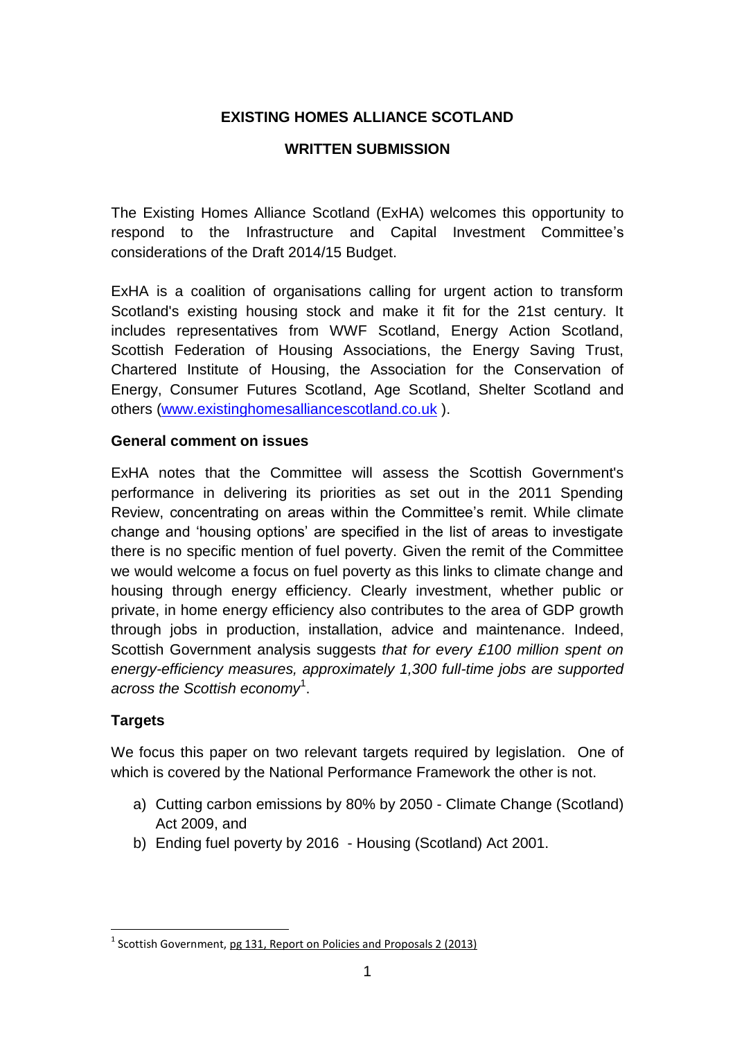# **EXISTING HOMES ALLIANCE SCOTLAND**

#### **WRITTEN SUBMISSION**

The Existing Homes Alliance Scotland (ExHA) welcomes this opportunity to respond to the Infrastructure and Capital Investment Committee's considerations of the Draft 2014/15 Budget.

ExHA is a coalition of organisations calling for urgent action to transform Scotland's existing housing stock and make it fit for the 21st century. It includes representatives from WWF Scotland, Energy Action Scotland, Scottish Federation of Housing Associations, the Energy Saving Trust, Chartered Institute of Housing, the Association for the Conservation of Energy, Consumer Futures Scotland, Age Scotland, Shelter Scotland and others [\(www.existinghomesalliancescotland.co.uk](http://www.existinghomesalliancescotland.co.uk/) ).

#### **General comment on issues**

ExHA notes that the Committee will assess the Scottish Government's performance in delivering its priorities as set out in the 2011 Spending Review, concentrating on areas within the Committee's remit. While climate change and 'housing options' are specified in the list of areas to investigate there is no specific mention of fuel poverty. Given the remit of the Committee we would welcome a focus on fuel poverty as this links to climate change and housing through energy efficiency. Clearly investment, whether public or private, in home energy efficiency also contributes to the area of GDP growth through jobs in production, installation, advice and maintenance. Indeed, Scottish Government analysis suggests *that for every £100 million spent on energy-efficiency measures, approximately 1,300 full-time jobs are supported across the Scottish economy*<sup>1</sup> .

#### **Targets**

**.** 

We focus this paper on two relevant targets required by legislation. One of which is covered by the National Performance Framework the other is not.

- a) Cutting carbon emissions by 80% by 2050 Climate Change (Scotland) Act 2009, and
- b) Ending fuel poverty by 2016 Housing (Scotland) Act 2001.

<sup>&</sup>lt;sup>1</sup> Scottish Government, pg 131, Report on Policies and Proposals 2 (2013)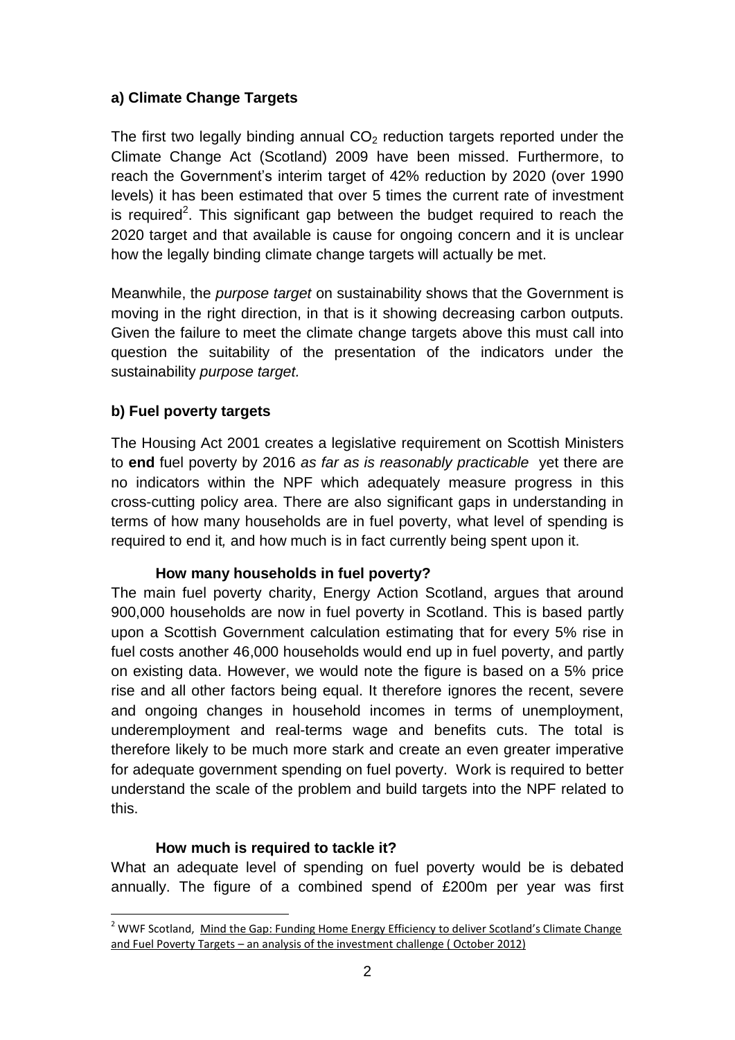# **a) Climate Change Targets**

The first two legally binding annual  $CO<sub>2</sub>$  reduction targets reported under the Climate Change Act (Scotland) 2009 have been missed. Furthermore, to reach the Government's interim target of 42% reduction by 2020 (over 1990 levels) it has been estimated that over 5 times the current rate of investment is required<sup>2</sup>. This significant gap between the budget required to reach the 2020 target and that available is cause for ongoing concern and it is unclear how the legally binding climate change targets will actually be met.

Meanwhile, the *purpose target* on sustainability shows that the Government is moving in the right direction, in that is it showing decreasing carbon outputs. Given the failure to meet the climate change targets above this must call into question the suitability of the presentation of the indicators under the sustainability *purpose target.* 

# **b) Fuel poverty targets**

The Housing Act 2001 creates a legislative requirement on Scottish Ministers to **end** fuel poverty by 2016 *as far as is reasonably practicable* yet there are no indicators within the NPF which adequately measure progress in this cross-cutting policy area. There are also significant gaps in understanding in terms of how many households are in fuel poverty, what level of spending is required to end it*,* and how much is in fact currently being spent upon it.

### **How many households in fuel poverty?**

The main fuel poverty charity, Energy Action Scotland, argues that around 900,000 households are now in fuel poverty in Scotland. This is based partly upon a Scottish Government calculation estimating that for every 5% rise in fuel costs another 46,000 households would end up in fuel poverty, and partly on existing data. However, we would note the figure is based on a 5% price rise and all other factors being equal. It therefore ignores the recent, severe and ongoing changes in household incomes in terms of unemployment, underemployment and real-terms wage and benefits cuts. The total is therefore likely to be much more stark and create an even greater imperative for adequate government spending on fuel poverty. Work is required to better understand the scale of the problem and build targets into the NPF related to this.

### **How much is required to tackle it?**

What an adequate level of spending on fuel poverty would be is debated annually. The figure of a combined spend of £200m per year was first

<sup>1</sup> <sup>2</sup> WWF Scotland, Mind the Gap: Funding Home Energy Efficiency to deliver Scotland's Climate Change and Fuel Poverty Targets – an analysis of the investment challenge ( October 2012)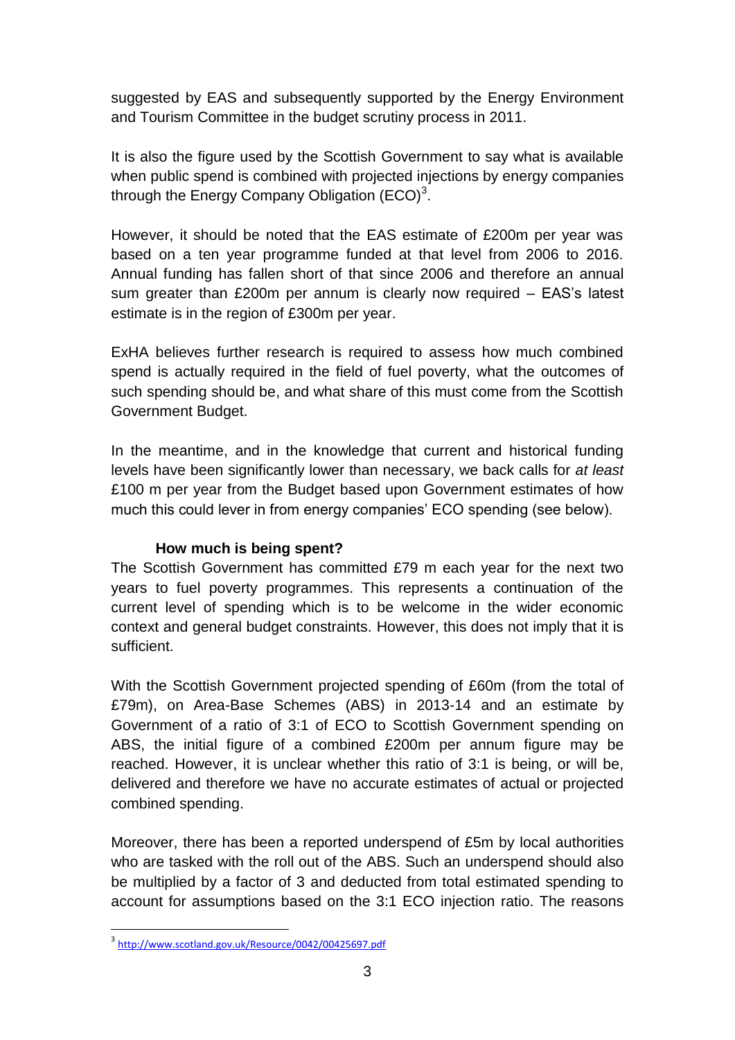suggested by EAS and subsequently supported by the Energy Environment and Tourism Committee in the budget scrutiny process in 2011.

It is also the figure used by the Scottish Government to say what is available when public spend is combined with projected injections by energy companies through the Energy Company Obligation (ECO)<sup>3</sup>.

However, it should be noted that the EAS estimate of £200m per year was based on a ten year programme funded at that level from 2006 to 2016. Annual funding has fallen short of that since 2006 and therefore an annual sum greater than £200m per annum is clearly now required – EAS's latest estimate is in the region of £300m per year.

ExHA believes further research is required to assess how much combined spend is actually required in the field of fuel poverty, what the outcomes of such spending should be, and what share of this must come from the Scottish Government Budget.

In the meantime, and in the knowledge that current and historical funding levels have been significantly lower than necessary, we back calls for *at least* £100 m per year from the Budget based upon Government estimates of how much this could lever in from energy companies' ECO spending (see below).

### **How much is being spent?**

The Scottish Government has committed £79 m each year for the next two years to fuel poverty programmes. This represents a continuation of the current level of spending which is to be welcome in the wider economic context and general budget constraints. However, this does not imply that it is sufficient.

With the Scottish Government projected spending of £60m (from the total of £79m), on Area-Base Schemes (ABS) in 2013-14 and an estimate by Government of a ratio of 3:1 of ECO to Scottish Government spending on ABS, the initial figure of a combined £200m per annum figure may be reached. However, it is unclear whether this ratio of 3:1 is being, or will be, delivered and therefore we have no accurate estimates of actual or projected combined spending.

Moreover, there has been a reported underspend of £5m by local authorities who are tasked with the roll out of the ABS. Such an underspend should also be multiplied by a factor of 3 and deducted from total estimated spending to account for assumptions based on the 3:1 ECO injection ratio. The reasons

**.** 

<sup>&</sup>lt;sup>3</sup><http://www.scotland.gov.uk/Resource/0042/00425697.pdf>